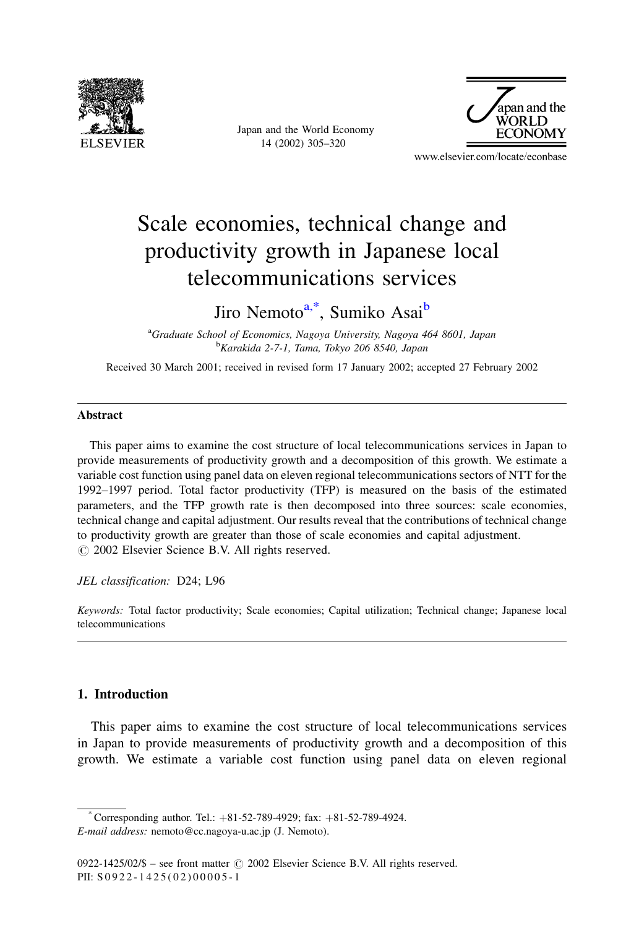

Japan and the World Economy 14 (2002) 305-320



www.elsevier.com/locate/econbase

# Scale economies, technical change and productivity growth in Japanese local telecommunications services

### Jiro Nemoto<sup>a,\*</sup>, Sumiko Asai<sup>b</sup>

<sup>a</sup>Graduate School of Economics, Nagoya University, Nagoya 464 8601, Japan <sup>b</sup>Karakida 2-7-1, Tama, Tokyo 206 8540, Japan

Received 30 March 2001; received in revised form 17 January 2002; accepted 27 February 2002

#### **Abstract**

This paper aims to examine the cost structure of local telecommunications services in Japan to provide measurements of productivity growth and a decomposition of this growth. We estimate a variable cost function using panel data on eleven regional telecommunications sectors of NTT for the 1992-1997 period. Total factor productivity (TFP) is measured on the basis of the estimated parameters, and the TFP growth rate is then decomposed into three sources: scale economies, technical change and capital adjustment. Our results reveal that the contributions of technical change to productivity growth are greater than those of scale economies and capital adjustment. © 2002 Elsevier Science B.V. All rights reserved.

JEL classification: D24; L96

Keywords: Total factor productivity; Scale economies; Capital utilization; Technical change; Japanese local telecommunications

### 1. Introduction

This paper aims to examine the cost structure of local telecommunications services in Japan to provide measurements of productivity growth and a decomposition of this growth. We estimate a variable cost function using panel data on eleven regional

Corresponding author. Tel.:  $+81-52-789-4929$ ; fax:  $+81-52-789-4924$ . E-mail address: nemoto@cc.nagoya-u.ac.jp (J. Nemoto).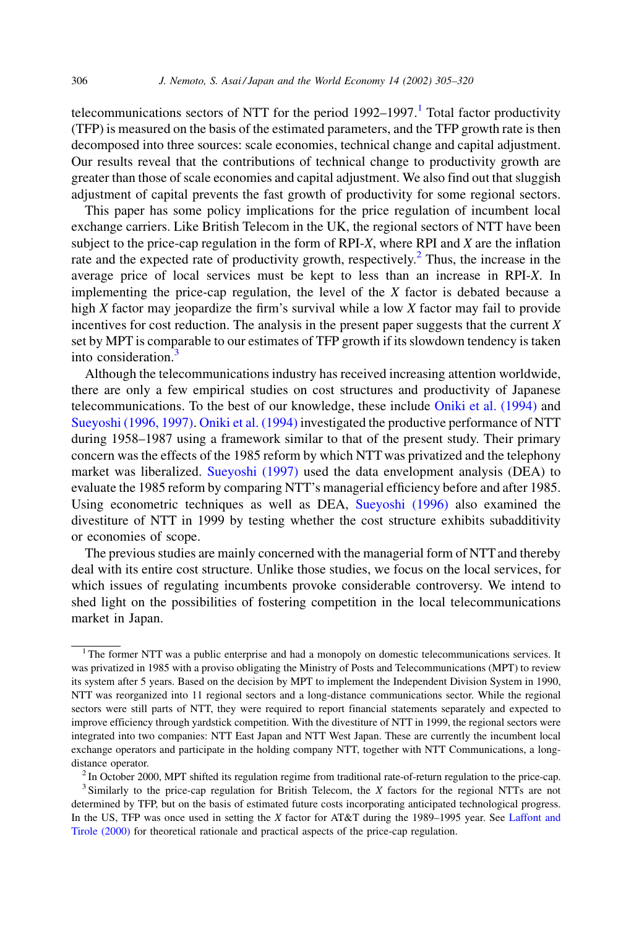telecommunications sectors of NTT for the period  $1992-1997$ .<sup>1</sup> Total factor productivity (TFP) is measured on the basis of the estimated parameters, and the TFP growth rate is then decomposed into three sources: scale economies, technical change and capital adjustment. Our results reveal that the contributions of technical change to productivity growth are greater than those of scale economies and capital adjustment. We also find out that sluggish adjustment of capital prevents the fast growth of productivity for some regional sectors.

This paper has some policy implications for the price regulation of incumbent local exchange carriers. Like British Telecom in the UK, the regional sectors of NTT have been subject to the price-cap regulation in the form of RPI- $X$ , where RPI and  $X$  are the inflation rate and the expected rate of productivity growth, respectively.<sup>2</sup> Thus, the increase in the average price of local services must be kept to less than an increase in RPI-X. In implementing the price-cap regulation, the level of the  $X$  factor is debated because a high X factor may jeopardize the firm's survival while a low X factor may fail to provide incentives for cost reduction. The analysis in the present paper suggests that the current  $X$ set by MPT is comparable to our estimates of TFP growth if its slowdown tendency is taken into consideration.<sup>3</sup>

Although the telecommunications industry has received increasing attention worldwide, there are only a few empirical studies on cost structures and productivity of Japanese telecommunications. To the best of our knowledge, these include Oniki et al. (1994) and Suevoshi (1996, 1997). Oniki et al. (1994) investigated the productive performance of NTT during 1958–1987 using a framework similar to that of the present study. Their primary concern was the effects of the 1985 reform by which NTT was privatized and the telephony market was liberalized. Sueyoshi (1997) used the data envelopment analysis (DEA) to evaluate the 1985 reform by comparing NTT's managerial efficiency before and after 1985. Using econometric techniques as well as DEA, Sueyoshi (1996) also examined the divestiture of NTT in 1999 by testing whether the cost structure exhibits subadditivity or economies of scope.

The previous studies are mainly concerned with the managerial form of NTT and thereby deal with its entire cost structure. Unlike those studies, we focus on the local services, for which issues of regulating incumbents provoke considerable controversy. We intend to shed light on the possibilities of fostering competition in the local telecommunications market in Japan.

 $1$  The former NTT was a public enterprise and had a monopoly on domestic telecommunications services. It was privatized in 1985 with a proviso obligating the Ministry of Posts and Telecommunications (MPT) to review its system after 5 years. Based on the decision by MPT to implement the Independent Division System in 1990, NTT was reorganized into 11 regional sectors and a long-distance communications sector. While the regional sectors were still parts of NTT, they were required to report financial statements separately and expected to improve efficiency through yardstick competition. With the divestiture of NTT in 1999, the regional sectors were integrated into two companies: NTT East Japan and NTT West Japan. These are currently the incumbent local exchange operators and participate in the holding company NTT, together with NTT Communications, a longdistance operator.

 $2$  In October 2000, MPT shifted its regulation regime from traditional rate-of-return regulation to the price-cap.  $3$  Similarly to the price-cap regulation for British Telecom, the  $X$  factors for the regional NTTs are not

determined by TFP, but on the basis of estimated future costs incorporating anticipated technological progress. In the US, TFP was once used in setting the X factor for AT&T during the 1989–1995 year. See Laffont and Tirole (2000) for theoretical rationale and practical aspects of the price-cap regulation.